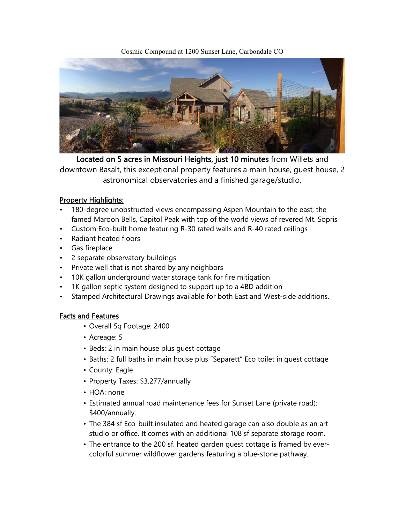Cosmic Compound at 1200 Sunset Lane, Carbondale CO



Located on 5 acres in Missouri Heights, just 10 minutes from Willets and downtown Basalt, this exceptional property features a main house, guest house, 2 astronomical observatories and a finished garage/studio.

## Property Highlights:

- 180-degree unobstructed views encompassing Aspen Mountain to the east, the famed Maroon Bells, Capitol Peak with top of the world views of revered Mt. Sopris
- Custom Eco-built home featuring R-30 rated walls and R-40 rated ceilings
- Radiant heated floors
- Gas fireplace
- 2 separate observatory buildings
- Private well that is not shared by any neighbors
- 10K gallon underground water storage tank for fire mitigation
- 1K gallon septic system designed to support up to a 4BD addition
- Stamped Architectural Drawings available for both East and West-side additions.

## Facts and Features

- Overall Sq Footage: 2400
- Acreage: 5
- Beds: 2 in main house plus guest cottage
- Baths: 2 full baths in main house plus "Separett" Eco toilet in guest cottage
- County: Eagle
- Property Taxes: \$3,277/annually
- HOA: none
- Estimated annual road maintenance fees for Sunset Lane (private road): \$400/annually.
- The 384 sf Eco-built insulated and heated garage can also double as an art studio or office. It comes with an additional 108 sf separate storage room.
- The entrance to the 200 sf. heated garden guest cottage is framed by evercolorful summer wildflower gardens featuring a blue-stone pathway.